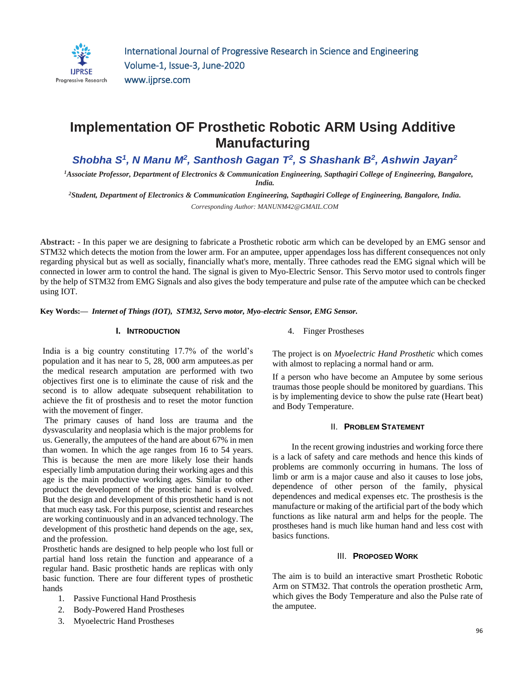

# **Implementation OF Prosthetic Robotic ARM Using Additive Manufacturing**

*Shobha S 1 , N Manu M<sup>2</sup> , Santhosh Gagan T 2 , S Shashank B<sup>2</sup> , Ashwin Jayan<sup>2</sup>*

*<sup>1</sup>Associate Professor, Department of Electronics & Communication Engineering, Sapthagiri College of Engineering, Bangalore, India.*

*<sup>2</sup>Student, Department of Electronics & Communication Engineering, Sapthagiri College of Engineering, Bangalore, India. Corresponding Author: MANUNM42@GMAIL.COM*

**Abstract: -** In this paper we are designing to fabricate a Prosthetic robotic arm which can be developed by an EMG sensor and STM32 which detects the motion from the lower arm. For an amputee, upper appendages loss has different consequences not only regarding physical but as well as socially, financially what's more, mentally. Three cathodes read the EMG signal which will be connected in lower arm to control the hand. The signal is given to Myo-Electric Sensor. This Servo motor used to controls finger by the help of STM32 from EMG Signals and also gives the body temperature and pulse rate of the amputee which can be checked using IOT.

**Key Words:—** *Internet of Things (IOT), STM32, Servo motor, Myo-electric Sensor, EMG Sensor.*

# **I. INTRODUCTION**

India is a big country constituting 17.7% of the world's population and it has near to 5, 28, 000 arm amputees.as per the medical research amputation are performed with two objectives first one is to eliminate the cause of risk and the second is to allow adequate subsequent rehabilitation to achieve the fit of prosthesis and to reset the motor function with the movement of finger.

The primary causes of hand loss are trauma and the dysvascularity and neoplasia which is the major problems for us. Generally, the amputees of the hand are about 67% in men than women. In which the age ranges from 16 to 54 years. This is because the men are more likely lose their hands especially limb amputation during their working ages and this age is the main productive working ages. Similar to other product the development of the prosthetic hand is evolved. But the design and development of this prosthetic hand is not that much easy task. For this purpose, scientist and researches are working continuously and in an advanced technology. The development of this prosthetic hand depends on the age, sex, and the profession.

Prosthetic hands are designed to help people who lost full or partial hand loss retain the function and appearance of a regular hand. Basic prosthetic hands are replicas with only basic function. There are four different types of prosthetic hands

- 1. Passive Functional Hand Prosthesis
- 2. Body-Powered Hand Prostheses
- 3. Myoelectric Hand Prostheses

4. Finger Prostheses

The project is on *Myoelectric Hand Prosthetic* which comes with almost to replacing a normal hand or arm.

If a person who have become an Amputee by some serious traumas those people should be monitored by guardians. This is by implementing device to show the pulse rate (Heart beat) and Body Temperature.

### II. **PROBLEM STATEMENT**

 In the recent growing industries and working force there is a lack of safety and care methods and hence this kinds of problems are commonly occurring in humans. The loss of limb or arm is a major cause and also it causes to lose jobs, dependence of other person of the family, physical dependences and medical expenses etc. The prosthesis is the manufacture or making of the artificial part of the body which functions as like natural arm and helps for the people. The prostheses hand is much like human hand and less cost with basics functions.

#### III. **PROPOSED WORK**

The aim is to build an interactive smart Prosthetic Robotic Arm on STM32. That controls the operation prosthetic Arm, which gives the Body Temperature and also the Pulse rate of the amputee.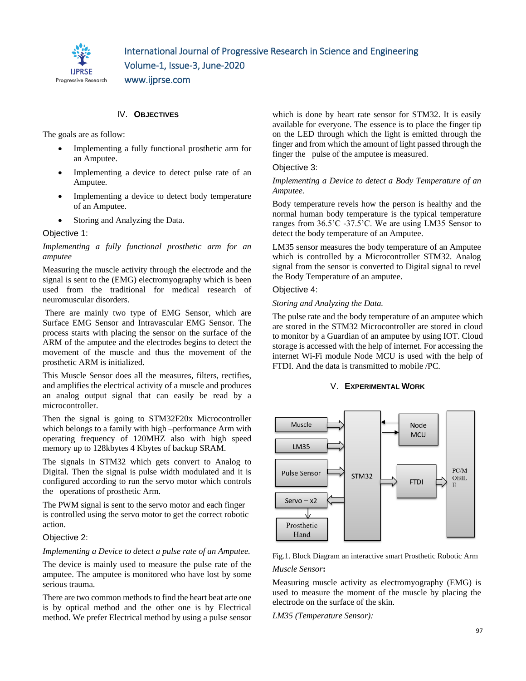

IV. **OBJECTIVES**

The goals are as follow:

- Implementing a fully functional prosthetic arm for an Amputee.
- Implementing a device to detect pulse rate of an Amputee.
- Implementing a device to detect body temperature of an Amputee.
- Storing and Analyzing the Data.

# Objective 1:

*Implementing a fully functional prosthetic arm for an amputee*

Measuring the muscle activity through the electrode and the signal is sent to the (EMG) electromyography which is been used from the traditional for medical research of neuromuscular disorders.

There are mainly two type of EMG Sensor, which are Surface EMG Sensor and Intravascular EMG Sensor. The process starts with placing the sensor on the surface of the ARM of the amputee and the electrodes begins to detect the movement of the muscle and thus the movement of the prosthetic ARM is initialized.

This Muscle Sensor does all the measures, filters, rectifies, and amplifies the electrical activity of a muscle and produces an analog output signal that can easily be read by a microcontroller.

Then the signal is going to STM32F20x Microcontroller which belongs to a family with high –performance Arm with operating frequency of 120MHZ also with high speed memory up to 128kbytes 4 Kbytes of backup SRAM.

The signals in STM32 which gets convert to Analog to Digital. Then the signal is pulse width modulated and it is configured according to run the servo motor which controls the operations of prosthetic Arm.

The PWM signal is sent to the servo motor and each finger is controlled using the servo motor to get the correct robotic action.

#### Objective 2:

#### *Implementing a Device to detect a pulse rate of an Amputee.*

The device is mainly used to measure the pulse rate of the amputee. The amputee is monitored who have lost by some serious trauma.

There are two common methods to find the heart beat arte one is by optical method and the other one is by Electrical method. We prefer Electrical method by using a pulse sensor

which is done by heart rate sensor for STM32. It is easily available for everyone. The essence is to place the finger tip on the LED through which the light is emitted through the finger and from which the amount of light passed through the finger the pulse of the amputee is measured.

#### Objective 3:

### *Implementing a Device to detect a Body Temperature of an Amputee.*

Body temperature revels how the person is healthy and the normal human body temperature is the typical temperature ranges from 36.5'C -37.5'C. We are using LM35 Sensor to detect the body temperature of an Amputee.

LM35 sensor measures the body temperature of an Amputee which is controlled by a Microcontroller STM32. Analog signal from the sensor is converted to Digital signal to revel the Body Temperature of an amputee.

# Objective 4:

#### *Storing and Analyzing the Data.*

The pulse rate and the body temperature of an amputee which are stored in the STM32 Microcontroller are stored in cloud to monitor by a Guardian of an amputee by using IOT. Cloud storage is accessed with the help of internet. For accessing the internet Wi-Fi module Node MCU is used with the help of FTDI. And the data is transmitted to mobile /PC.

# V. **EXPERIMENTAL WORK**



Fig.1. Block Diagram an interactive smart Prosthetic Robotic Arm *Muscle Sensor***:**

Measuring muscle activity as electromyography (EMG) is used to measure the moment of the muscle by placing the electrode on the surface of the skin.

*LM35 (Temperature Sensor):*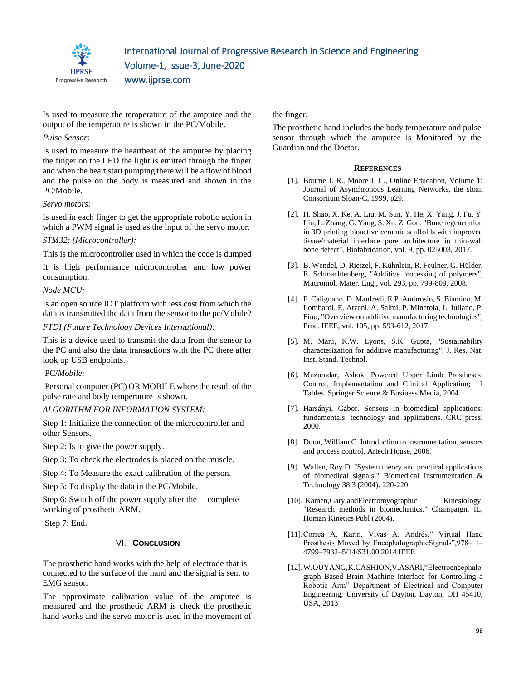

Is used to measure the temperature of the amputee and the output of the temperature is shown in the PC/Mobile.

# *Pulse Sensor:*

Is used to measure the heartbeat of the amputee by placing the finger on the LED the light is emitted through the finger and when the heart start pumping there will be a flow of blood and the pulse on the body is measured and shown in the PC/Mobile.

# *Servo motors:*

Is used in each finger to get the appropriate robotic action in which a PWM signal is used as the input of the servo motor.

# *STM32: (Microcontroller):*

This is the microcontroller used in which the code is dumped

It is high performance microcontroller and low power consumption.

# *Node MCU:*

Is an open source IOT platform with less cost from which the data is transmitted the data from the sensor to the pc/Mobile?

# *FTDI (Future Technology Devices International):*

This is a device used to transmit the data from the sensor to the PC and also the data transactions with the PC there after look up USB endpoints.

PC/*Mobile*:

Personal computer (PC) OR MOBILE where the result of the pulse rate and body temperature is shown.

# *ALGORITHM FOR INFORMATION SYSTEM:*

Step 1: Initialize the connection of the microcontroller and other Sensors.

Step 2: Is to give the power supply.

Step 3: To check the electrodes is placed on the muscle.

Step 4: To Measure the exact calibration of the person.

Step 5: To display the data in the PC/Mobile.

Step 6: Switch off the power supply after the complete working of prosthetic ARM.

Step 7: End.

# VI. **CONCLUSION**

The prosthetic hand works with the help of electrode that is connected to the surface of the hand and the signal is sent to EMG sensor.

The approximate calibration value of the amputee is measured and the prosthetic ARM is check the prosthetic hand works and the servo motor is used in the movement of the finger.

The prosthetic hand includes the body temperature and pulse sensor through which the amputee is Monitored by the Guardian and the Doctor.

#### **REFERENCES**

- [1]. Bourne J. R., Moore J. C., Online Education, Volume 1: Journal of Asynchronous Learning Networks, the sloan Consortium Sloan-C, 1999, p29.
- [2]. H. Shao, X. Ke, A. Liu, M. Sun, Y. He, X. Yang, J. Fu, Y. Liu, L. Zhang, G. Yang, S. Xu, Z. Gou, "Bone regeneration in 3D printing bioactive ceramic scaffolds with improved tissue/material interface pore architecture in thin-wall bone defect", Biofabrication, vol. 9, pp. 025003, 2017.
- [3]. B. Wendel, D. Rietzel, F. Kühnlein, R. Feulner, G. Hülder, E. Schmachtenberg, "Additive processing of polymers", Macromol. Mater. Eng., vol. 293, pp. 799-809, 2008.
- [4]. F. Calignano, D. Manfredi, E.P. Ambrosio, S. Biamino, M. Lombardi, E. Atzeni, A. Salmi, P. Minetola, L. Iuliano, P. Fino, "Overview on additive manufacturing technologies", Proc. IEEE, vol. 105, pp. 593-612, 2017.
- [5]. M. Mani, K.W. Lyons, S.K. Gupta, "Sustainability characterization for additive manufacturing", J. Res. Nat. Inst. Stand. Technol.
- [6]. Muzumdar, Ashok. Powered Upper Limb Prostheses: Control, Implementation and Clinical Application; 11 Tables. Springer Science & Business Media, 2004.
- [7]. Harsányi, Gábor. Sensors in biomedical applications: fundamentals, technology and applications. CRC press, 2000.
- [8]. Dunn, William C. Introduction to instrumentation, sensors and process control. Artech House, 2006.
- [9]. Wallen, Roy D. "System theory and practical applications of biomedical signals." Biomedical Instrumentation & Technology 38.3 (2004): 220-220.
- [10]. Kamen, Gary, and Electromy ographic Kinesiology. "Research methods in biomechanics." Champaign, IL, Human Kinetics Publ (2004).
- [11].Correa A. Karin, Vivas A. Andrés," Virtual Hand Prosthesis Moved by EncephalographicSignals",978– 1– 4799–7932–5/14/\$31.00 2014 IEEE
- [12].W.OUYANG,K.CASHION,V.ASARI,"Electroencephalo graph Based Brain Machine Interface for Controlling a Robotic Arm" Department of Electrical and Computer Engineering, University of Dayton, Dayton, OH 45410, USA, 2013